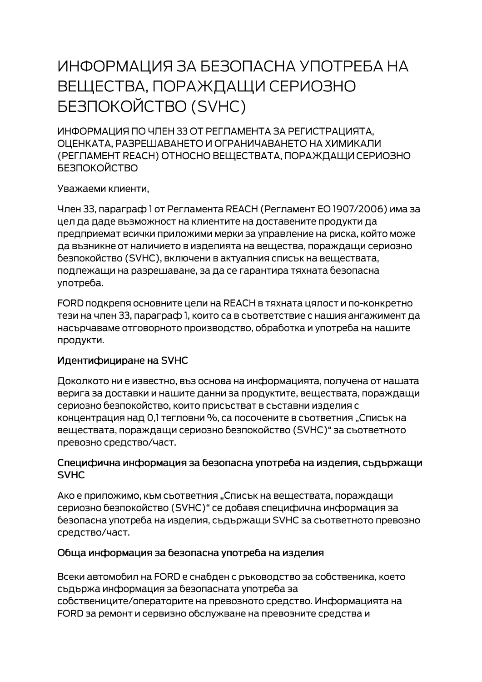# ИНФОРМАЦИЯ ЗА БЕЗОПАСНА УПОТРЕБА НА ВЕЩЕСТВА, ПОРАЖДАЩИ СЕРИОЗНО **БЕЗПОКОЙСТВО (SVHC)**

ИНФОРМАЦИЯ ПО ЧЛЕН 33 ОТ РЕГЛАМЕНТА ЗА РЕГИСТРАЦИЯТА. ОЦЕНКАТА, РАЗРЕШАВАНЕТО И ОГРАНИЧАВАНЕТО НА ХИМИКАЛИ (РЕГЛАМЕНТ REACH) ОТНОСНО ВЕЩЕСТВАТА, ПОРАЖДАЩИ СЕРИОЗНО **БЕЗПОКОЙСТВО** 

Уважаеми клиенти,

Член 33, параграф 1 от Регламента REACH (Регламент ЕО 1907/2006) има за цел да даде възможност на клиентите на доставените продукти да предприемат всички приложими мерки за управление на риска, който може да възникне от наличието в изделията на вещества, пораждащи сериозно безпокойство (SVHC), включени в актуалния списък на веществата, подлежащи на разрешаване, за да се гарантира тяхната безопасна употреба.

FORD подкрепя основните цели на REACH в тяхната цялост и по-конкретно тези на член 33, параграф 1, които са в съответствие с нашия ангажимент да насърчаваме отговорното производство, обработка и употреба на нашите продукти.

## Идентифициране на SVHC

Доколкото ни е известно, въз основа на информацията, получена от нашата верига за доставки и нашите данни за продуктите, веществата, пораждащи сериозно безпокойство, които присъстват в съставни изделия с концентрация над 0,1 тегловни %, са посочените в съответния "Списък на веществата, пораждащи сериозно безпокойство (SVHC)" за съответното превозно средство/част.

#### Специфична информация за безопасна употреба на изделия, съдържащи **SVHC**

Ако е приложимо, към съответния "Списък на веществата, пораждащи сериозно безпокойство (SVHC)" се добавя специфична информация за безопасна употреба на изделия, съдържащи SVHC за съответното превозно средство/част.

## Обща информация за безопасна употреба на изделия

Всеки автомобил на FORD е снабден с ръководство за собственика, което съдържа информация за безопасната употреба за собствениците/операторите на превозното средство. Информацията на FORD за ремонт и сервизно обслужване на превозните средства и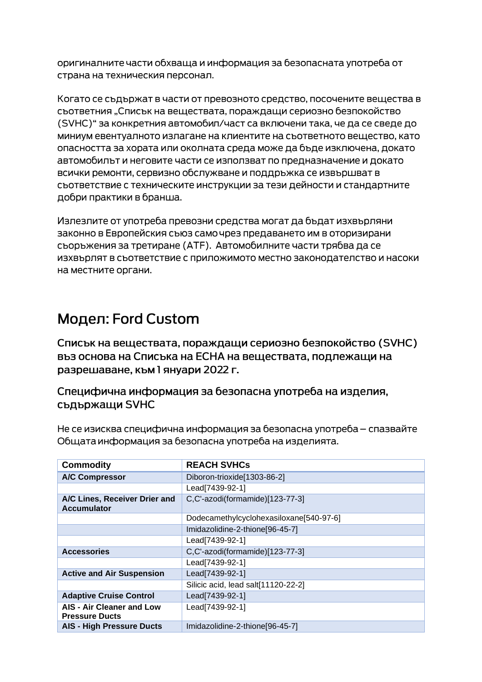оригиналните части обхваща и информация за безопасната употреба от страна на техническия персонал.

Когато се съдържат в части от превозното средство, посочените вещества в съответния "Списък на веществата, пораждащи сериозно безпокойство (SVHC)" за конкретния автомобил/част са включени така, че да се сведе до миниум евентуалното излагане на клиентите на съответното вещество, като опасността за хората или околната среда може да бъде изключена, докато автомобилът и неговите части се използват по предназначение и докато всички ремонти, сервизно обслужване и поддръжка се извършват в съответствие с техническите инструкции за тези дейности и стандартните добри практики в бранша.

Излезлите от употреба превозни средства могат да бъдат изхвърляни законно в Европейския съюз само чрез предаването им в оторизирани сьоръжения за третиране (АТЕ). Автомобилните части трябва да се изхвърлят в съответствие с приложимото местно законодателство и насоки на местните органи.

# Модел: Ford Custom

Списък на веществата, пораждащи сериозно безпокойство (SVHC) въз основа на Списъка на ЕСНА на веществата, подлежащи на разрешаване, към 1 януари 2022 г.

Специфична информация за безопасна употреба на изделия, съдържащи SVHC

Не се изисква специфична информация за безопасна употреба – спазвайте Общата информация за безопасна употреба на изделията.

| <b>Commodity</b>                                          | <b>REACH SVHCs</b>                      |
|-----------------------------------------------------------|-----------------------------------------|
| <b>A/C Compressor</b>                                     | Diboron-trioxide[1303-86-2]             |
|                                                           | Lead[7439-92-1]                         |
| A/C Lines, Receiver Drier and<br><b>Accumulator</b>       | C,C'-azodi(formamide)[123-77-3]         |
|                                                           | Dodecamethylcyclohexasiloxane[540-97-6] |
|                                                           | Imidazolidine-2-thione[96-45-7]         |
|                                                           | Lead[7439-92-1]                         |
| <b>Accessories</b>                                        | C,C'-azodi(formamide)[123-77-3]         |
|                                                           | Lead[7439-92-1]                         |
| <b>Active and Air Suspension</b>                          | Lead[7439-92-1]                         |
|                                                           | Silicic acid, lead salt[11120-22-2]     |
| <b>Adaptive Cruise Control</b>                            | Lead[7439-92-1]                         |
| <b>AIS - Air Cleaner and Low</b><br><b>Pressure Ducts</b> | Lead[7439-92-1]                         |
| <b>AIS - High Pressure Ducts</b>                          | Imidazolidine-2-thione[96-45-7]         |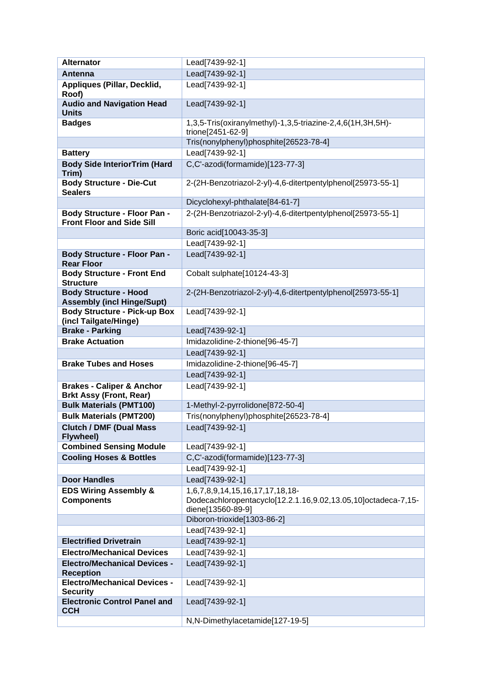| <b>Alternator</b>                                                       | Lead[7439-92-1]                                                                                                       |
|-------------------------------------------------------------------------|-----------------------------------------------------------------------------------------------------------------------|
| Antenna                                                                 | Lead[7439-92-1]                                                                                                       |
| Appliques (Pillar, Decklid,<br>Roof)                                    | Lead[7439-92-1]                                                                                                       |
| <b>Audio and Navigation Head</b><br><b>Units</b>                        | Lead[7439-92-1]                                                                                                       |
| <b>Badges</b>                                                           | 1,3,5-Tris(oxiranylmethyl)-1,3,5-triazine-2,4,6(1H,3H,5H)-<br>trione[2451-62-9]                                       |
|                                                                         | Tris(nonylphenyl)phosphite[26523-78-4]                                                                                |
| <b>Battery</b>                                                          | Lead[7439-92-1]                                                                                                       |
| <b>Body Side InteriorTrim (Hard</b><br>Trim)                            | C,C'-azodi(formamide)[123-77-3]                                                                                       |
| <b>Body Structure - Die-Cut</b><br><b>Sealers</b>                       | 2-(2H-Benzotriazol-2-yl)-4,6-ditertpentylphenol[25973-55-1]                                                           |
|                                                                         | Dicyclohexyl-phthalate[84-61-7]                                                                                       |
| <b>Body Structure - Floor Pan -</b><br><b>Front Floor and Side Sill</b> | 2-(2H-Benzotriazol-2-yl)-4,6-ditertpentylphenol[25973-55-1]                                                           |
|                                                                         | Boric acid[10043-35-3]                                                                                                |
|                                                                         | Lead[7439-92-1]                                                                                                       |
| Body Structure - Floor Pan -<br><b>Rear Floor</b>                       | Lead[7439-92-1]                                                                                                       |
| <b>Body Structure - Front End</b><br><b>Structure</b>                   | Cobalt sulphate[10124-43-3]                                                                                           |
| <b>Body Structure - Hood</b><br><b>Assembly (incl Hinge/Supt)</b>       | 2-(2H-Benzotriazol-2-yl)-4,6-ditertpentylphenol[25973-55-1]                                                           |
| <b>Body Structure - Pick-up Box</b><br>(incl Tailgate/Hinge)            | Lead[7439-92-1]                                                                                                       |
| <b>Brake - Parking</b>                                                  | Lead[7439-92-1]                                                                                                       |
| <b>Brake Actuation</b>                                                  | Imidazolidine-2-thione[96-45-7]                                                                                       |
|                                                                         | Lead[7439-92-1]                                                                                                       |
| <b>Brake Tubes and Hoses</b>                                            | Imidazolidine-2-thione[96-45-7]                                                                                       |
|                                                                         | Lead[7439-92-1]                                                                                                       |
| <b>Brakes - Caliper &amp; Anchor</b><br><b>Brkt Assy (Front, Rear)</b>  | Lead[7439-92-1]                                                                                                       |
| <b>Bulk Materials (PMT100)</b>                                          | 1-Methyl-2-pyrrolidone[872-50-4]                                                                                      |
| <b>Bulk Materials (PMT200)</b>                                          | Tris(nonylphenyl)phosphite[26523-78-4]                                                                                |
| <b>Clutch / DMF (Dual Mass</b><br>Flywheel)                             | Lead[7439-92-1]                                                                                                       |
| <b>Combined Sensing Module</b>                                          | Lead[7439-92-1]                                                                                                       |
| <b>Cooling Hoses &amp; Bottles</b>                                      | C,C'-azodi(formamide)[123-77-3]                                                                                       |
|                                                                         | Lead[7439-92-1]                                                                                                       |
| <b>Door Handles</b>                                                     | Lead[7439-92-1]                                                                                                       |
| <b>EDS Wiring Assembly &amp;</b><br><b>Components</b>                   | 1,6,7,8,9,14,15,16,17,17,18,18-<br>Dodecachloropentacyclo[12.2.1.16,9.02,13.05,10]octadeca-7,15-<br>diene[13560-89-9] |
|                                                                         | Diboron-trioxide[1303-86-2]                                                                                           |
|                                                                         | Lead[7439-92-1]                                                                                                       |
| <b>Electrified Drivetrain</b>                                           | Lead[7439-92-1]                                                                                                       |
| <b>Electro/Mechanical Devices</b>                                       | Lead[7439-92-1]                                                                                                       |
| <b>Electro/Mechanical Devices -</b><br><b>Reception</b>                 | Lead[7439-92-1]                                                                                                       |
| <b>Electro/Mechanical Devices -</b><br><b>Security</b>                  | Lead[7439-92-1]                                                                                                       |
| <b>Electronic Control Panel and</b><br><b>CCH</b>                       | Lead[7439-92-1]                                                                                                       |
|                                                                         | N,N-Dimethylacetamide[127-19-5]                                                                                       |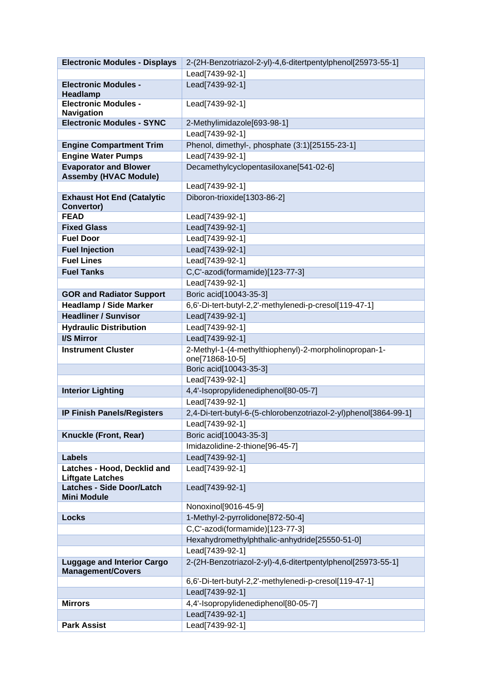| <b>Electronic Modules - Displays</b>                          | 2-(2H-Benzotriazol-2-yl)-4,6-ditertpentylphenol[25973-55-1]      |
|---------------------------------------------------------------|------------------------------------------------------------------|
|                                                               | Lead[7439-92-1]                                                  |
| <b>Electronic Modules -</b>                                   | Lead[7439-92-1]                                                  |
| Headlamp                                                      |                                                                  |
| <b>Electronic Modules -</b>                                   | Lead[7439-92-1]                                                  |
| <b>Navigation</b><br><b>Electronic Modules - SYNC</b>         | 2-Methylimidazole[693-98-1]                                      |
|                                                               | Lead[7439-92-1]                                                  |
| <b>Engine Compartment Trim</b>                                | Phenol, dimethyl-, phosphate (3:1)[25155-23-1]                   |
| <b>Engine Water Pumps</b>                                     | Lead[7439-92-1]                                                  |
| <b>Evaporator and Blower</b>                                  | Decamethylcyclopentasiloxane[541-02-6]                           |
| <b>Assemby (HVAC Module)</b>                                  |                                                                  |
|                                                               | Lead[7439-92-1]                                                  |
| <b>Exhaust Hot End (Catalytic</b>                             | Diboron-trioxide[1303-86-2]                                      |
| Convertor)                                                    |                                                                  |
| <b>FEAD</b>                                                   | Lead[7439-92-1]                                                  |
| <b>Fixed Glass</b>                                            | Lead[7439-92-1]                                                  |
| <b>Fuel Door</b>                                              | Lead[7439-92-1]                                                  |
| <b>Fuel Injection</b>                                         | Lead[7439-92-1]                                                  |
| <b>Fuel Lines</b>                                             | Lead[7439-92-1]                                                  |
| <b>Fuel Tanks</b>                                             | C,C'-azodi(formamide)[123-77-3]                                  |
|                                                               | Lead[7439-92-1]                                                  |
| <b>GOR and Radiator Support</b>                               | Boric acid[10043-35-3]                                           |
| <b>Headlamp / Side Marker</b>                                 | 6,6'-Di-tert-butyl-2,2'-methylenedi-p-cresol[119-47-1]           |
| <b>Headliner / Sunvisor</b>                                   | Lead[7439-92-1]                                                  |
| <b>Hydraulic Distribution</b>                                 | Lead[7439-92-1]                                                  |
| <b>I/S Mirror</b>                                             | Lead[7439-92-1]                                                  |
| <b>Instrument Cluster</b>                                     | 2-Methyl-1-(4-methylthiophenyl)-2-morpholinopropan-1-            |
|                                                               | one[71868-10-5]<br>Boric acid[10043-35-3]                        |
|                                                               | Lead[7439-92-1]                                                  |
| <b>Interior Lighting</b>                                      | 4,4'-Isopropylidenediphenol[80-05-7]                             |
|                                                               | Lead[7439-92-1]                                                  |
| <b>IP Finish Panels/Registers</b>                             | 2,4-Di-tert-butyl-6-(5-chlorobenzotriazol-2-yl)phenol[3864-99-1] |
|                                                               | Lead[7439-92-1]                                                  |
| Knuckle (Front, Rear)                                         | Boric acid[10043-35-3]                                           |
|                                                               | Imidazolidine-2-thione[96-45-7]                                  |
| <b>Labels</b>                                                 | Lead[7439-92-1]                                                  |
| Latches - Hood, Decklid and                                   | Lead[7439-92-1]                                                  |
| <b>Liftgate Latches</b>                                       |                                                                  |
| <b>Latches - Side Door/Latch</b>                              | Lead[7439-92-1]                                                  |
| <b>Mini Module</b>                                            |                                                                  |
|                                                               | Nonoxinol[9016-45-9]                                             |
| <b>Locks</b>                                                  | 1-Methyl-2-pyrrolidone[872-50-4]                                 |
|                                                               | C,C'-azodi(formamide)[123-77-3]                                  |
|                                                               | Hexahydromethylphthalic-anhydride[25550-51-0]                    |
|                                                               | Lead[7439-92-1]                                                  |
| <b>Luggage and Interior Cargo</b><br><b>Management/Covers</b> | 2-(2H-Benzotriazol-2-yl)-4,6-ditertpentylphenol[25973-55-1]      |
|                                                               | 6,6'-Di-tert-butyl-2,2'-methylenedi-p-cresol[119-47-1]           |
|                                                               | Lead[7439-92-1]                                                  |
| <b>Mirrors</b>                                                | 4,4'-Isopropylidenediphenol[80-05-7]                             |
|                                                               | Lead[7439-92-1]                                                  |
| <b>Park Assist</b>                                            | Lead[7439-92-1]                                                  |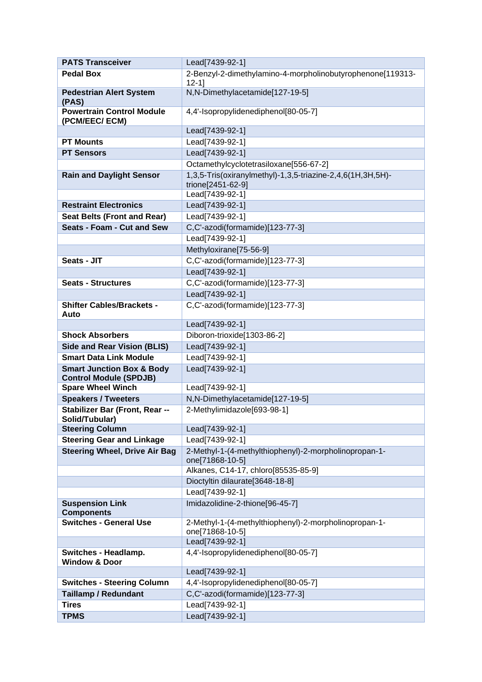| <b>PATS Transceiver</b>                                               | Lead[7439-92-1]                                                                 |
|-----------------------------------------------------------------------|---------------------------------------------------------------------------------|
| Pedal Box                                                             | 2-Benzyl-2-dimethylamino-4-morpholinobutyrophenone[119313-<br>$12 - 11$         |
| <b>Pedestrian Alert System</b><br>(PAS)                               | N,N-Dimethylacetamide[127-19-5]                                                 |
| <b>Powertrain Control Module</b><br>(PCM/EEC/ ECM)                    | 4,4'-Isopropylidenediphenol[80-05-7]                                            |
|                                                                       | Lead[7439-92-1]                                                                 |
| <b>PT Mounts</b>                                                      | Lead[7439-92-1]                                                                 |
| <b>PT Sensors</b>                                                     | Lead[7439-92-1]                                                                 |
|                                                                       | Octamethylcyclotetrasiloxane[556-67-2]                                          |
| <b>Rain and Daylight Sensor</b>                                       | 1,3,5-Tris(oxiranylmethyl)-1,3,5-triazine-2,4,6(1H,3H,5H)-<br>trione[2451-62-9] |
|                                                                       | Lead[7439-92-1]                                                                 |
| <b>Restraint Electronics</b>                                          | Lead[7439-92-1]                                                                 |
| <b>Seat Belts (Front and Rear)</b>                                    | Lead[7439-92-1]                                                                 |
| Seats - Foam - Cut and Sew                                            | C,C'-azodi(formamide)[123-77-3]                                                 |
|                                                                       | Lead[7439-92-1]                                                                 |
|                                                                       | Methyloxirane[75-56-9]                                                          |
| Seats - JIT                                                           | C,C'-azodi(formamide)[123-77-3]                                                 |
|                                                                       | Lead[7439-92-1]                                                                 |
| <b>Seats - Structures</b>                                             | C,C'-azodi(formamide)[123-77-3]                                                 |
|                                                                       | Lead[7439-92-1]                                                                 |
| <b>Shifter Cables/Brackets -</b><br>Auto                              | C,C'-azodi(formamide)[123-77-3]                                                 |
|                                                                       | Lead[7439-92-1]                                                                 |
| <b>Shock Absorbers</b>                                                | Diboron-trioxide[1303-86-2]                                                     |
| <b>Side and Rear Vision (BLIS)</b>                                    | Lead[7439-92-1]                                                                 |
| <b>Smart Data Link Module</b>                                         | Lead[7439-92-1]                                                                 |
| <b>Smart Junction Box &amp; Body</b><br><b>Control Module (SPDJB)</b> | Lead[7439-92-1]                                                                 |
| <b>Spare Wheel Winch</b>                                              | Lead[7439-92-1]                                                                 |
| <b>Speakers / Tweeters</b>                                            | N,N-Dimethylacetamide[127-19-5]                                                 |
| Stabilizer Bar (Front, Rear --<br>Solid/Tubular)                      | 2-Methylimidazole[693-98-1]                                                     |
| <b>Steering Column</b>                                                | Lead[7439-92-1]                                                                 |
| <b>Steering Gear and Linkage</b>                                      | Lead[7439-92-1]                                                                 |
| <b>Steering Wheel, Drive Air Bag</b>                                  | 2-Methyl-1-(4-methylthiophenyl)-2-morpholinopropan-1-<br>one[71868-10-5]        |
|                                                                       | Alkanes, C14-17, chloro[85535-85-9]                                             |
|                                                                       | Dioctyltin dilaurate[3648-18-8]                                                 |
|                                                                       | Lead[7439-92-1]                                                                 |
| <b>Suspension Link</b><br><b>Components</b>                           | Imidazolidine-2-thione[96-45-7]                                                 |
| <b>Switches - General Use</b>                                         | 2-Methyl-1-(4-methylthiophenyl)-2-morpholinopropan-1-<br>one[71868-10-5]        |
|                                                                       | Lead[7439-92-1]                                                                 |
| Switches - Headlamp.<br><b>Window &amp; Door</b>                      | 4,4'-Isopropylidenediphenol[80-05-7]                                            |
|                                                                       | Lead[7439-92-1]                                                                 |
| <b>Switches - Steering Column</b>                                     | 4,4'-Isopropylidenediphenol[80-05-7]                                            |
| <b>Taillamp / Redundant</b>                                           | C,C'-azodi(formamide)[123-77-3]                                                 |
| <b>Tires</b>                                                          | Lead[7439-92-1]                                                                 |
| <b>TPMS</b>                                                           | Lead[7439-92-1]                                                                 |